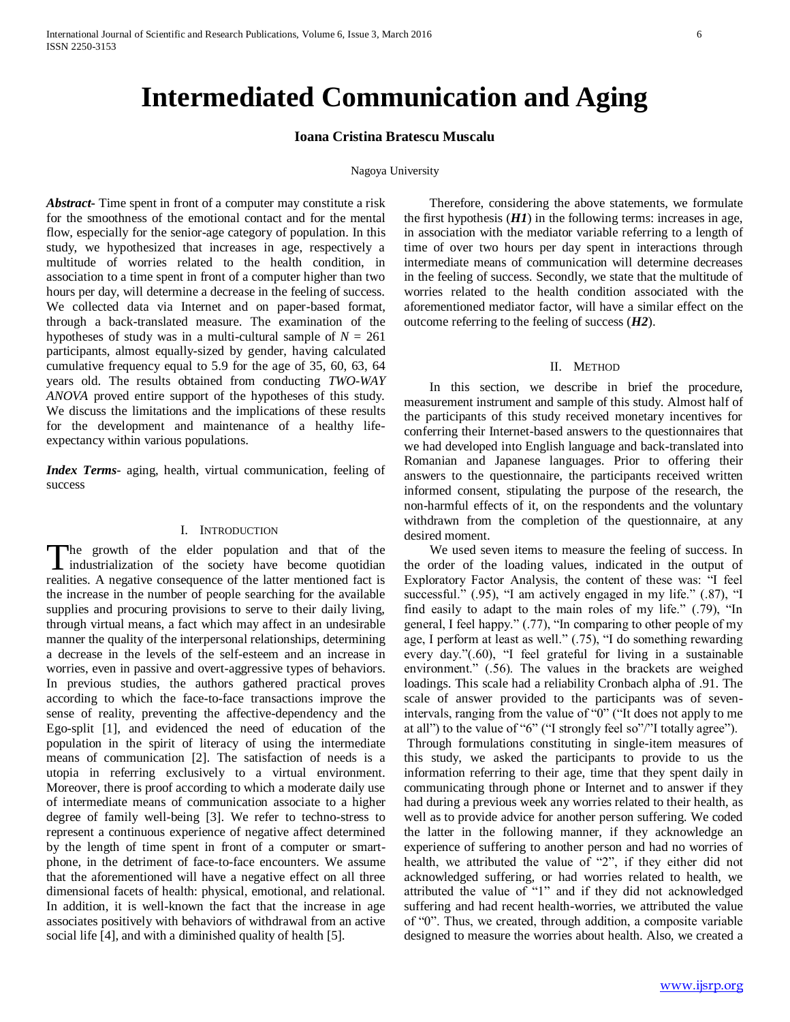# **Intermediated Communication and Aging**

## **Ioana Cristina Bratescu Muscalu**

### Nagoya University

*Abstract***-** Time spent in front of a computer may constitute a risk for the smoothness of the emotional contact and for the mental flow, especially for the senior-age category of population. In this study, we hypothesized that increases in age, respectively a multitude of worries related to the health condition, in association to a time spent in front of a computer higher than two hours per day, will determine a decrease in the feeling of success. We collected data via Internet and on paper-based format, through a back-translated measure. The examination of the hypotheses of study was in a multi-cultural sample of  $N = 261$ participants, almost equally-sized by gender, having calculated cumulative frequency equal to 5.9 for the age of 35, 60, 63, 64 years old. The results obtained from conducting *TWO-WAY ANOVA* proved entire support of the hypotheses of this study. We discuss the limitations and the implications of these results for the development and maintenance of a healthy lifeexpectancy within various populations.

*Index Terms*- aging, health, virtual communication, feeling of success

## I. INTRODUCTION

The growth of the elder population and that of the The growth of the elder population and that of the industrialization of the society have become quotidian realities. A negative consequence of the latter mentioned fact is the increase in the number of people searching for the available supplies and procuring provisions to serve to their daily living, through virtual means, a fact which may affect in an undesirable manner the quality of the interpersonal relationships, determining a decrease in the levels of the self-esteem and an increase in worries, even in passive and overt-aggressive types of behaviors. In previous studies, the authors gathered practical proves according to which the face-to-face transactions improve the sense of reality, preventing the affective-dependency and the Ego-split [1], and evidenced the need of education of the population in the spirit of literacy of using the intermediate means of communication [2]. The satisfaction of needs is a utopia in referring exclusively to a virtual environment. Moreover, there is proof according to which a moderate daily use of intermediate means of communication associate to a higher degree of family well-being [3]. We refer to techno-stress to represent a continuous experience of negative affect determined by the length of time spent in front of a computer or smartphone, in the detriment of face-to-face encounters. We assume that the aforementioned will have a negative effect on all three dimensional facets of health: physical, emotional, and relational. In addition, it is well-known the fact that the increase in age associates positively with behaviors of withdrawal from an active social life [4], and with a diminished quality of health [5].

 Therefore, considering the above statements, we formulate the first hypothesis  $(H1)$  in the following terms: increases in age, in association with the mediator variable referring to a length of time of over two hours per day spent in interactions through intermediate means of communication will determine decreases in the feeling of success. Secondly, we state that the multitude of worries related to the health condition associated with the aforementioned mediator factor, will have a similar effect on the outcome referring to the feeling of success (*H2*).

#### II. METHOD

 In this section, we describe in brief the procedure, measurement instrument and sample of this study. Almost half of the participants of this study received monetary incentives for conferring their Internet-based answers to the questionnaires that we had developed into English language and back-translated into Romanian and Japanese languages. Prior to offering their answers to the questionnaire, the participants received written informed consent, stipulating the purpose of the research, the non-harmful effects of it, on the respondents and the voluntary withdrawn from the completion of the questionnaire, at any desired moment.

 We used seven items to measure the feeling of success. In the order of the loading values, indicated in the output of Exploratory Factor Analysis, the content of these was: "I feel successful." (.95), "I am actively engaged in my life." (.87), "I find easily to adapt to the main roles of my life." (.79), "In general, I feel happy." (.77), "In comparing to other people of my age, I perform at least as well." (.75), "I do something rewarding every day."(.60), "I feel grateful for living in a sustainable environment." (.56). The values in the brackets are weighed loadings. This scale had a reliability Cronbach alpha of .91. The scale of answer provided to the participants was of sevenintervals, ranging from the value of "0" ("It does not apply to me at all") to the value of "6" ("I strongly feel so"/"I totally agree"). Through formulations constituting in single-item measures of this study, we asked the participants to provide to us the information referring to their age, time that they spent daily in communicating through phone or Internet and to answer if they had during a previous week any worries related to their health, as well as to provide advice for another person suffering. We coded the latter in the following manner, if they acknowledge an experience of suffering to another person and had no worries of health, we attributed the value of "2", if they either did not acknowledged suffering, or had worries related to health, we attributed the value of "1" and if they did not acknowledged suffering and had recent health-worries, we attributed the value of "0". Thus, we created, through addition, a composite variable designed to measure the worries about health. Also, we created a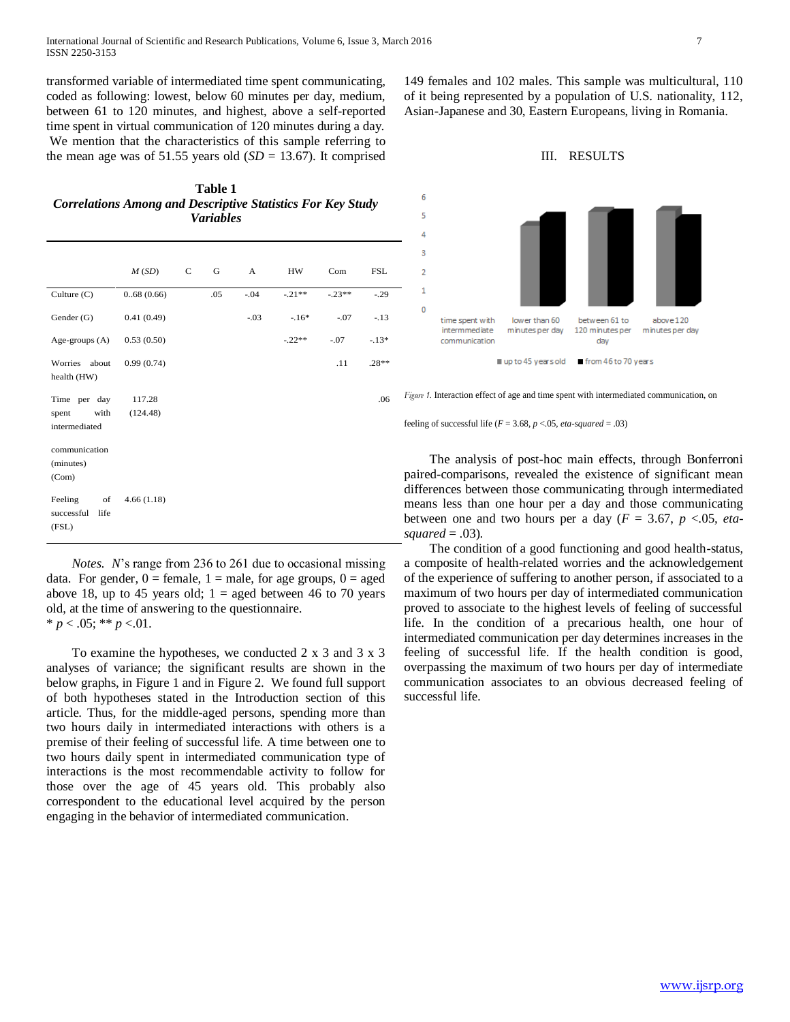transformed variable of intermediated time spent communicating, coded as following: lowest, below 60 minutes per day, medium, between 61 to 120 minutes, and highest, above a self-reported time spent in virtual communication of 120 minutes during a day. We mention that the characteristics of this sample referring to the mean age was of 51.55 years old  $(SD = 13.67)$ . It comprised

**Table 1** *Correlations Among and Descriptive Statistics For Key Study Variables*

|                                                | M(SD)              | C | G   | A      | HW.      | Com      | <b>FSL</b> |
|------------------------------------------------|--------------------|---|-----|--------|----------|----------|------------|
| Culture (C)                                    | 0.68(0.66)         |   | .05 | $-.04$ | $-.21**$ | $-.23**$ | $-.29$     |
| Gender (G)                                     | 0.41(0.49)         |   |     | $-.03$ | $-.16*$  | $-.07$   | $-.13$     |
| Age-groups $(A)$                               | 0.53(0.50)         |   |     |        | $-.22**$ | $-.07$   | $-.13*$    |
| Worries<br>about<br>health (HW)                | 0.99(0.74)         |   |     |        |          | .11      | $.28**$    |
| Time per day<br>with<br>spent<br>intermediated | 117.28<br>(124.48) |   |     |        |          |          | .06        |
| communication<br>(minutes)<br>(Com)            |                    |   |     |        |          |          |            |
| Feeling<br>of<br>successful<br>life<br>(FSL)   | 4.66(1.18)         |   |     |        |          |          |            |

 *Notes. N*'s range from 236 to 261 due to occasional missing data. For gender,  $0 =$  female,  $1 =$  male, for age groups,  $0 =$  aged above 18, up to 45 years old;  $1 =$  aged between 46 to 70 years old, at the time of answering to the questionnaire.  $* p < .05; ** p < .01.$ 

 To examine the hypotheses, we conducted 2 x 3 and 3 x 3 analyses of variance; the significant results are shown in the below graphs, in Figure 1 and in Figure 2. We found full support of both hypotheses stated in the Introduction section of this article. Thus, for the middle-aged persons, spending more than two hours daily in intermediated interactions with others is a premise of their feeling of successful life. A time between one to two hours daily spent in intermediated communication type of interactions is the most recommendable activity to follow for those over the age of 45 years old. This probably also correspondent to the educational level acquired by the person engaging in the behavior of intermediated communication.

149 females and 102 males. This sample was multicultural, 110 of it being represented by a population of U.S. nationality, 112, Asian-Japanese and 30, Eastern Europeans, living in Romania.





*Figure 1.* Interaction effect of age and time spent with intermediated communication, on

feeling of successful life  $(F = 3.68, p < .05, eta-squared = .03)$ 

 The analysis of post-hoc main effects, through Bonferroni paired-comparisons, revealed the existence of significant mean differences between those communicating through intermediated means less than one hour per a day and those communicating between one and two hours per a day  $(F = 3.67, p < 0.05, eta-)$ *squared* = .03).

 The condition of a good functioning and good health-status, a composite of health-related worries and the acknowledgement of the experience of suffering to another person, if associated to a maximum of two hours per day of intermediated communication proved to associate to the highest levels of feeling of successful life. In the condition of a precarious health, one hour of intermediated communication per day determines increases in the feeling of successful life. If the health condition is good, overpassing the maximum of two hours per day of intermediate communication associates to an obvious decreased feeling of successful life.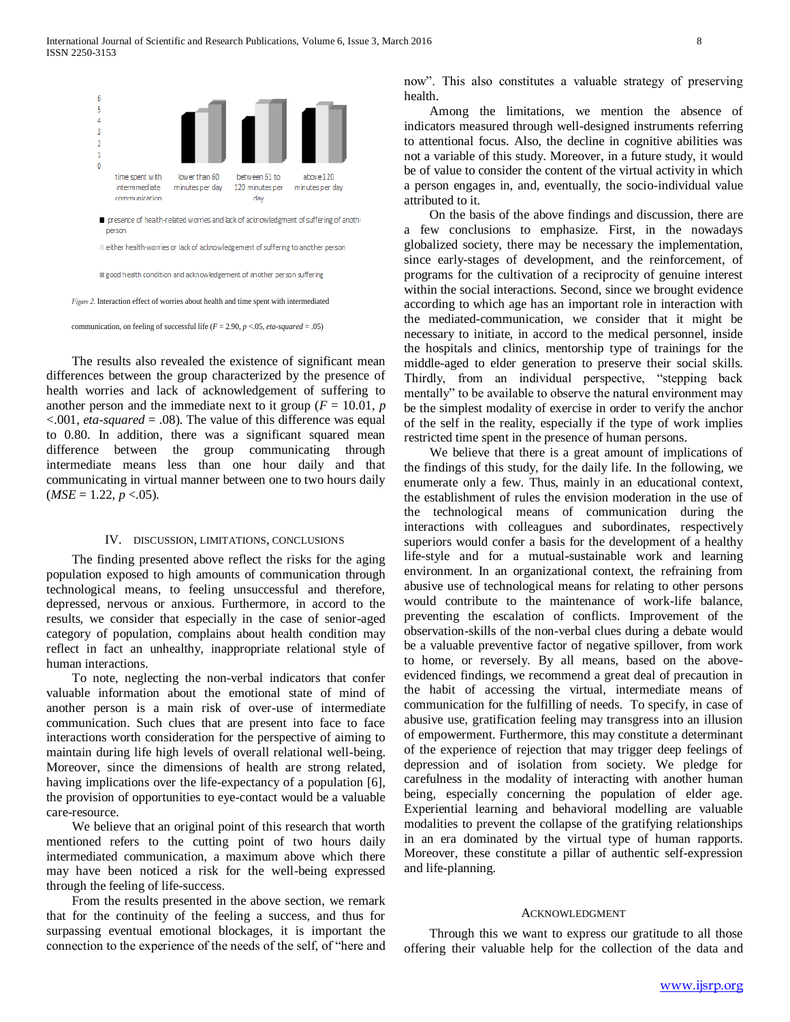

 The results also revealed the existence of significant mean differences between the group characterized by the presence of health worries and lack of acknowledgement of suffering to another person and the immediate next to it group ( $F = 10.01$ ,  $p$ ) <.001*, eta-squared* = .08). The value of this difference was equal to 0.80. In addition, there was a significant squared mean difference between the group communicating through intermediate means less than one hour daily and that communicating in virtual manner between one to two hours daily  $(MSE = 1.22, p < .05)$ .

### IV. DISCUSSION, LIMITATIONS, CONCLUSIONS

 The finding presented above reflect the risks for the aging population exposed to high amounts of communication through technological means, to feeling unsuccessful and therefore, depressed, nervous or anxious. Furthermore, in accord to the results, we consider that especially in the case of senior-aged category of population, complains about health condition may reflect in fact an unhealthy, inappropriate relational style of human interactions.

 To note, neglecting the non-verbal indicators that confer valuable information about the emotional state of mind of another person is a main risk of over-use of intermediate communication. Such clues that are present into face to face interactions worth consideration for the perspective of aiming to maintain during life high levels of overall relational well-being. Moreover, since the dimensions of health are strong related, having implications over the life-expectancy of a population [6], the provision of opportunities to eye-contact would be a valuable care-resource.

 We believe that an original point of this research that worth mentioned refers to the cutting point of two hours daily intermediated communication, a maximum above which there may have been noticed a risk for the well-being expressed through the feeling of life-success.

 From the results presented in the above section, we remark that for the continuity of the feeling a success, and thus for surpassing eventual emotional blockages, it is important the connection to the experience of the needs of the self, of "here and now". This also constitutes a valuable strategy of preserving health.

 Among the limitations, we mention the absence of indicators measured through well-designed instruments referring to attentional focus. Also, the decline in cognitive abilities was not a variable of this study. Moreover, in a future study, it would be of value to consider the content of the virtual activity in which a person engages in, and, eventually, the socio-individual value attributed to it.

 On the basis of the above findings and discussion, there are a few conclusions to emphasize. First, in the nowadays globalized society, there may be necessary the implementation, since early-stages of development, and the reinforcement, of programs for the cultivation of a reciprocity of genuine interest within the social interactions. Second, since we brought evidence according to which age has an important role in interaction with the mediated-communication, we consider that it might be necessary to initiate, in accord to the medical personnel, inside the hospitals and clinics, mentorship type of trainings for the middle-aged to elder generation to preserve their social skills. Thirdly, from an individual perspective, "stepping back mentally" to be available to observe the natural environment may be the simplest modality of exercise in order to verify the anchor of the self in the reality, especially if the type of work implies restricted time spent in the presence of human persons.

 We believe that there is a great amount of implications of the findings of this study, for the daily life. In the following, we enumerate only a few. Thus, mainly in an educational context, the establishment of rules the envision moderation in the use of the technological means of communication during the interactions with colleagues and subordinates, respectively superiors would confer a basis for the development of a healthy life-style and for a mutual-sustainable work and learning environment. In an organizational context, the refraining from abusive use of technological means for relating to other persons would contribute to the maintenance of work-life balance, preventing the escalation of conflicts. Improvement of the observation-skills of the non-verbal clues during a debate would be a valuable preventive factor of negative spillover, from work to home, or reversely. By all means, based on the aboveevidenced findings, we recommend a great deal of precaution in the habit of accessing the virtual, intermediate means of communication for the fulfilling of needs. To specify, in case of abusive use, gratification feeling may transgress into an illusion of empowerment. Furthermore, this may constitute a determinant of the experience of rejection that may trigger deep feelings of depression and of isolation from society. We pledge for carefulness in the modality of interacting with another human being, especially concerning the population of elder age. Experiential learning and behavioral modelling are valuable modalities to prevent the collapse of the gratifying relationships in an era dominated by the virtual type of human rapports. Moreover, these constitute a pillar of authentic self-expression and life-planning.

#### ACKNOWLEDGMENT

 Through this we want to express our gratitude to all those offering their valuable help for the collection of the data and